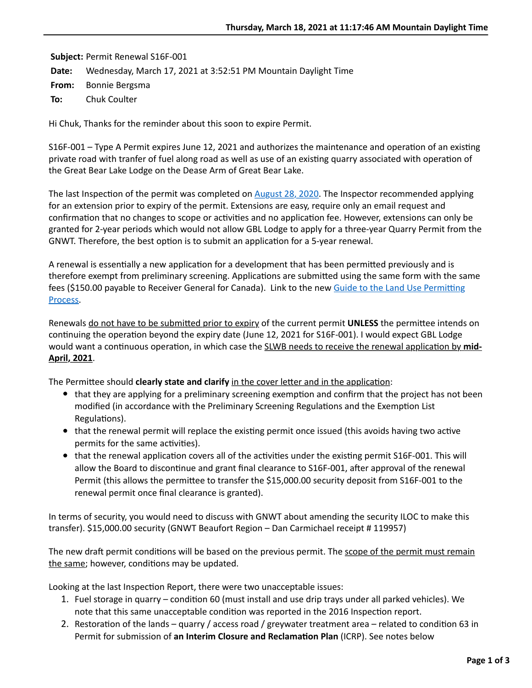**Subject:** Permit Renewal S16F-001 **Date:** Wednesday, March 17, 2021 at 3:52:51 PM Mountain Daylight Time **From:** Bonnie Bergsma **To:** Chuk Coulter

Hi Chuk, Thanks for the reminder about this soon to expire Permit.

S16F-001 – Type A Permit expires June 12, 2021 and authorizes the maintenance and operation of an existing private road with tranfer of fuel along road as well as use of an existing quarry associated with operation of the Great Bear Lake Lodge on the Dease Arm of Great Bear Lake.

The last Inspection of the permit was completed on  $\Delta$ ugust 28, 2020. The Inspector recommended applying for an extension prior to expiry of the permit. Extensions are easy, require only an email request and confirmation that no changes to scope or activities and no application fee. However, extensions can only be granted for 2-year periods which would not allow GBL Lodge to apply for a three-year Quarry Permit from the GNWT. Therefore, the best option is to submit an application for a 5-year renewal.

A renewal is essentially a new application for a development that has been permitted previously and is therefore exempt from preliminary screening. Applications are submitted using the same form with the same fees (\$150.00 payable to Receiver General for Canada). Link to the new Guide to the Land Use Permitting Process.

Renewals do not have to be submitted prior to expiry of the current permit **UNLESS** the permittee intends on continuing the operation beyond the expiry date (June 12, 2021 for S16F-001). I would expect GBL Lodge would want a continuous operation, in which case the **SLWB** needs to receive the renewal application by mid-**April, 2021**.

The Permittee should **clearly state and clarify** in the cover letter and in the application:

- $\bullet$  that they are applying for a preliminary screening exemption and confirm that the project has not been modified (in accordance with the Preliminary Screening Regulations and the Exemption List Regulations).
- that the renewal permit will replace the existing permit once issued (this avoids having two active permits for the same activities).
- $\bullet$  that the renewal application covers all of the activities under the existing permit S16F-001. This will allow the Board to discontinue and grant final clearance to S16F-001, after approval of the renewal Permit (this allows the permittee to transfer the \$15,000.00 security deposit from S16F-001 to the renewal permit once final clearance is granted).

In terms of security, you would need to discuss with GNWT about amending the security ILOC to make this transfer). \$15,000.00 security (GNWT Beaufort Region – Dan Carmichael receipt # 119957)

The new draft permit conditions will be based on the previous permit. The scope of the permit must remain the same; however, conditions may be updated.

Looking at the last Inspection Report, there were two unacceptable issues:

- 1. Fuel storage in quarry condition 60 (must install and use drip trays under all parked vehicles). We note that this same unacceptable condition was reported in the 2016 Inspection report.
- 2. Restoration of the lands quarry / access road / greywater treatment area related to condition 63 in Permit for submission of an Interim Closure and Reclamation Plan (ICRP). See notes below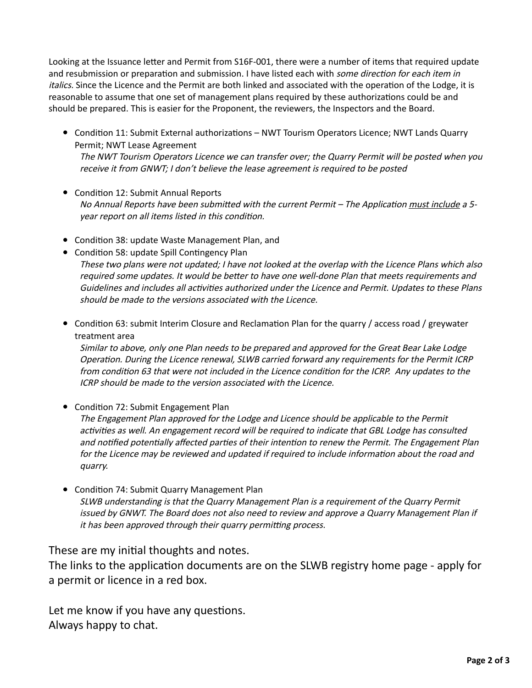Looking at the Issuance letter and Permit from S16F-001, there were a number of items that required update and resubmission or preparation and submission. I have listed each with some direction for each item in italics. Since the Licence and the Permit are both linked and associated with the operation of the Lodge, it is reasonable to assume that one set of management plans required by these authorizations could be and should be prepared. This is easier for the Proponent, the reviewers, the Inspectors and the Board.

- Condition 11: Submit External authorizations NWT Tourism Operators Licence; NWT Lands Quarry Permit; NWT Lease Agreement The NWT Tourism Operators Licence we can transfer over; the Quarry Permit will be posted when you receive it from GNWT; I don't believe the lease agreement is required to be posted
- Condition 12: Submit Annual Reports No Annual Reports have been submitted with the current Permit – The Application must include a 5year report on all items listed in this condition.
- Condition 38: update Waste Management Plan, and
- Condition 58: update Spill Contingency Plan These two plans were not updated; I have not looked at the overlap with the Licence Plans which also required some updates. It would be better to have one well-done Plan that meets requirements and Guidelines and includes all activities authorized under the Licence and Permit. Updates to these Plans should be made to the versions associated with the Licence.
- Condition 63: submit Interim Closure and Reclamation Plan for the quarry / access road / greywater treatment area

Similar to above, only one Plan needs to be prepared and approved for the Great Bear Lake Lodge Operation. During the Licence renewal, SLWB carried forward any requirements for the Permit ICRP from condition 63 that were not included in the Licence condition for the ICRP. Any updates to the ICRP should be made to the version associated with the Licence.

- Condition 72: Submit Engagement Plan The Engagement Plan approved for the Lodge and Licence should be applicable to the Permit activities as well. An engagement record will be required to indicate that GBL Lodge has consulted and notified potentially affected parties of their intention to renew the Permit. The Engagement Plan for the Licence may be reviewed and updated if required to include information about the road and quarry.
- Condition 74: Submit Quarry Management Plan SLWB understanding is that the Quarry Management Plan is a requirement of the Quarry Permit issued by GNWT. The Board does not also need to review and approve a Quarry Management Plan if it has been approved through their quarry permitting process.

These are my initial thoughts and notes.

The links to the application documents are on the SLWB registry home page - apply for a permit or licence in a red box.

Let me know if you have any questions. Always happy to chat.